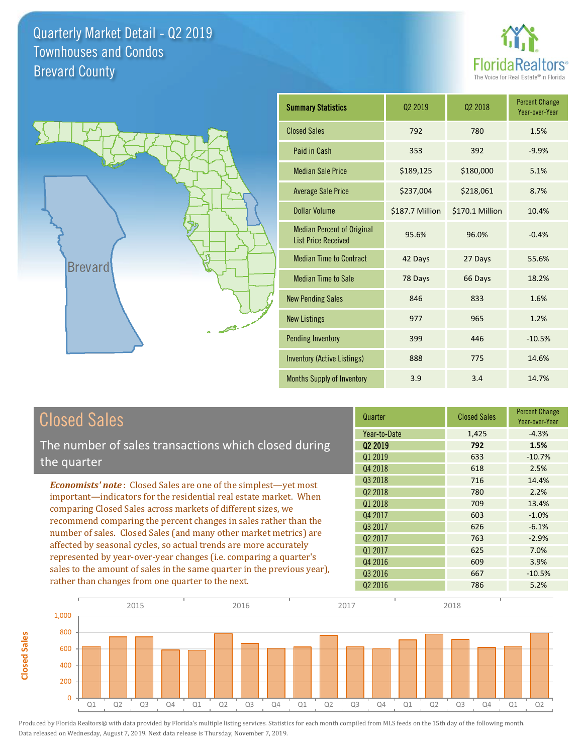



**Closed Sales**

**Closed Sales** 

| <b>Summary Statistics</b>                                       | 02 2019         | 02 2018         | <b>Percent Change</b><br>Year-over-Year |
|-----------------------------------------------------------------|-----------------|-----------------|-----------------------------------------|
| <b>Closed Sales</b>                                             | 792             | 780             | 1.5%                                    |
| Paid in Cash                                                    | 353             | 392             | $-9.9%$                                 |
| <b>Median Sale Price</b>                                        | \$189,125       | \$180,000       | 5.1%                                    |
| <b>Average Sale Price</b>                                       | \$237,004       | \$218,061       | 8.7%                                    |
| Dollar Volume                                                   | \$187.7 Million | \$170.1 Million | 10.4%                                   |
| <b>Median Percent of Original</b><br><b>List Price Received</b> | 95.6%           | 96.0%           | $-0.4%$                                 |
| <b>Median Time to Contract</b>                                  | 42 Days         | 27 Days         | 55.6%                                   |
| <b>Median Time to Sale</b>                                      | 78 Days         | 66 Days         | 18.2%                                   |
| <b>New Pending Sales</b>                                        | 846             | 833             | 1.6%                                    |
| <b>New Listings</b>                                             | 977             | 965             | 1.2%                                    |
| <b>Pending Inventory</b>                                        | 399             | 446             | $-10.5%$                                |
| Inventory (Active Listings)                                     | 888             | 775             | 14.6%                                   |
| <b>Months Supply of Inventory</b>                               | 3.9             | 3.4             | 14.7%                                   |

| <b>Closed Sales</b>                                                                                                                                                                                                                                                                                                                                                                                                  | Quarter             | <b>Closed Sales</b> | <b>Percent Change</b><br>Year-over-Year |
|----------------------------------------------------------------------------------------------------------------------------------------------------------------------------------------------------------------------------------------------------------------------------------------------------------------------------------------------------------------------------------------------------------------------|---------------------|---------------------|-----------------------------------------|
|                                                                                                                                                                                                                                                                                                                                                                                                                      | Year-to-Date        | 1,425               | $-4.3%$                                 |
| The number of sales transactions which closed during                                                                                                                                                                                                                                                                                                                                                                 | 02 2019             | 792                 | 1.5%                                    |
| the quarter                                                                                                                                                                                                                                                                                                                                                                                                          | Q1 2019             | 633                 | $-10.7%$                                |
|                                                                                                                                                                                                                                                                                                                                                                                                                      | Q4 2018             | 618                 | 2.5%                                    |
| <b>Economists' note:</b> Closed Sales are one of the simplest—yet most                                                                                                                                                                                                                                                                                                                                               | Q3 2018             | 716                 | 14.4%                                   |
| important—indicators for the residential real estate market. When<br>comparing Closed Sales across markets of different sizes, we<br>recommend comparing the percent changes in sales rather than the<br>number of sales. Closed Sales (and many other market metrics) are<br>affected by seasonal cycles, so actual trends are more accurately<br>represented by year-over-year changes (i.e. comparing a quarter's | Q <sub>2</sub> 2018 | 780                 | 2.2%                                    |
|                                                                                                                                                                                                                                                                                                                                                                                                                      | Q1 2018             | 709                 | 13.4%                                   |
|                                                                                                                                                                                                                                                                                                                                                                                                                      | Q4 2017             | 603                 | $-1.0%$                                 |
|                                                                                                                                                                                                                                                                                                                                                                                                                      | Q3 2017             | 626                 | $-6.1%$                                 |
|                                                                                                                                                                                                                                                                                                                                                                                                                      | Q <sub>2</sub> 2017 | 763                 | $-2.9%$                                 |
|                                                                                                                                                                                                                                                                                                                                                                                                                      | Q1 2017             | 625                 | 7.0%                                    |
|                                                                                                                                                                                                                                                                                                                                                                                                                      | Q4 2016             | 609                 | 3.9%                                    |
| sales to the amount of sales in the same quarter in the previous year),                                                                                                                                                                                                                                                                                                                                              | 03 2016             | 667                 | $-10.5%$                                |
| rather than changes from one quarter to the next.                                                                                                                                                                                                                                                                                                                                                                    | Q <sub>2</sub> 2016 | 786                 | 5.2%                                    |

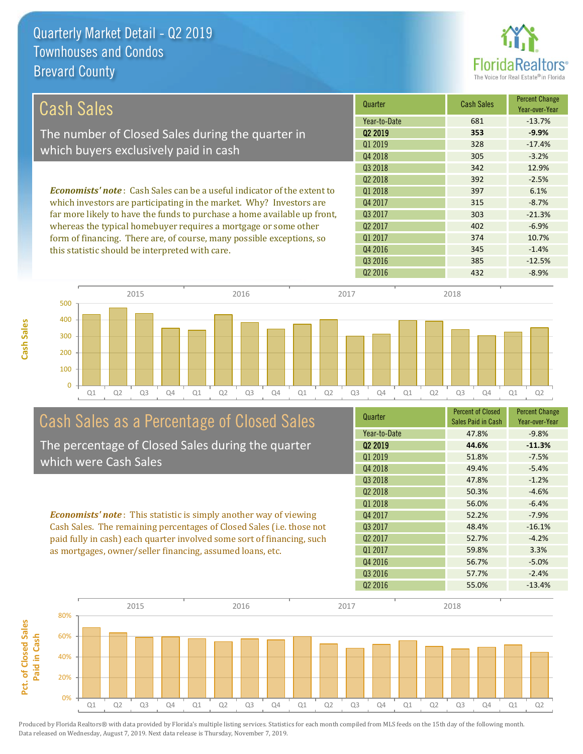

| Cash Sales                                                                     | Quarter             | <b>Cash Sales</b> | <b>Percent Change</b><br>Year-over-Year |
|--------------------------------------------------------------------------------|---------------------|-------------------|-----------------------------------------|
|                                                                                | Year-to-Date        | 681               | $-13.7%$                                |
| The number of Closed Sales during the quarter in                               | 02 2019             | 353               | $-9.9%$                                 |
| which buyers exclusively paid in cash                                          | 01 2019             | 328               | $-17.4%$                                |
|                                                                                | Q4 2018             | 305               | $-3.2%$                                 |
|                                                                                | 03 2018             | 342               | 12.9%                                   |
|                                                                                | 02 2018             | 392               | $-2.5%$                                 |
| <b>Economists' note:</b> Cash Sales can be a useful indicator of the extent to | 01 2018             | 397               | 6.1%                                    |
| which investors are participating in the market. Why? Investors are            | Q4 2017             | 315               | $-8.7%$                                 |
| far more likely to have the funds to purchase a home available up front,       | 03 2017             | 303               | $-21.3%$                                |
| whereas the typical homebuyer requires a mortgage or some other                | Q <sub>2</sub> 2017 | 402               | $-6.9%$                                 |
| form of financing. There are, of course, many possible exceptions, so          | Q1 2017             | 374               | 10.7%                                   |
| this statistic should be interpreted with care.                                | Q4 2016             | 345               | $-1.4%$                                 |
|                                                                                | Q3 2016             | 385               | $-12.5%$                                |



# Cash Sales as a Percentage of Closed Sales

The percentage of Closed Sales during the quarter which were Cash Sales

*Economists' note* : This statistic is simply another way of viewing Cash Sales. The remaining percentages of Closed Sales (i.e. those not paid fully in cash) each quarter involved some sort of financing, such as mortgages, owner/seller financing, assumed loans, etc.



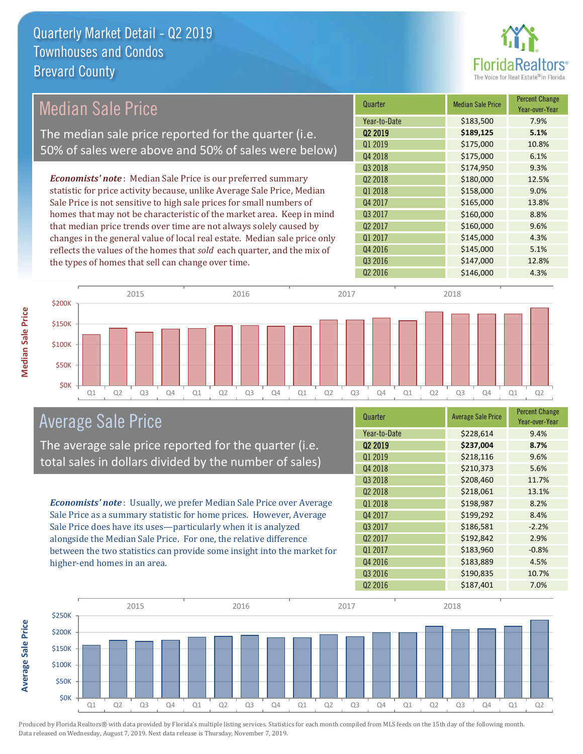

### Median Sale Price

The median sale price reported for the quarter (i.e. 50% of sales were above and 50% of sales were below)

*Economists' note* : Median Sale Price is our preferred summary statistic for price activity because, unlike Average Sale Price, Median Sale Price is not sensitive to high sale prices for small numbers of homes that may not be characteristic of the market area. Keep in mind that median price trends over time are not always solely caused by changes in the general value of local real estate. Median sale price only reflects the values of the homes that *sold* each quarter, and the mix of the types of homes that sell can change over time.

| Quarter             | <b>Median Sale Price</b> | <b>Percent Change</b><br>Year-over-Year |
|---------------------|--------------------------|-----------------------------------------|
| Year-to-Date        | \$183,500                | 7.9%                                    |
| Q <sub>2</sub> 2019 | \$189,125                | 5.1%                                    |
| Q1 2019             | \$175,000                | 10.8%                                   |
| Q4 2018             | \$175,000                | 6.1%                                    |
| Q3 2018             | \$174,950                | 9.3%                                    |
| Q <sub>2</sub> 2018 | \$180,000                | 12.5%                                   |
| 01 2018             | \$158,000                | 9.0%                                    |
| Q4 2017             | \$165,000                | 13.8%                                   |
| Q3 2017             | \$160,000                | 8.8%                                    |
| Q2 2017             | \$160,000                | 9.6%                                    |
| Q1 2017             | \$145,000                | 4.3%                                    |
| Q4 2016             | \$145,000                | 5.1%                                    |
| Q3 2016             | \$147,000                | 12.8%                                   |
| Q <sub>2</sub> 2016 | \$146,000                | 4.3%                                    |



#### Average Sale Price

The average sale price reported for the quarter (i.e. total sales in dollars divided by the number of sales)

*Economists' note* : Usually, we prefer Median Sale Price over Average Sale Price as a summary statistic for home prices. However, Average Sale Price does have its uses—particularly when it is analyzed alongside the Median Sale Price. For one, the relative difference between the two statistics can provide some insight into the market for higher-end homes in an area.

| <b>Average Sale Price</b> | <b>Percent Change</b><br>Year-over-Year |
|---------------------------|-----------------------------------------|
| \$228,614                 | 9.4%                                    |
| \$237,004                 | 8.7%                                    |
| \$218,116                 | 9.6%                                    |
| \$210,373                 | 5.6%                                    |
| \$208,460                 | 11.7%                                   |
| \$218,061                 | 13.1%                                   |
| \$198,987                 | 8.2%                                    |
| \$199,292                 | 8.4%                                    |
| \$186,581                 | $-2.2%$                                 |
| \$192,842                 | 2.9%                                    |
| \$183,960                 | $-0.8%$                                 |
| \$183,889                 | 4.5%                                    |
| \$190,835                 | 10.7%                                   |
| \$187,401                 | 7.0%                                    |
|                           |                                         |



Produced by Florida Realtors® with data provided by Florida's multiple listing services. Statistics for each month compiled from MLS feeds on the 15th day of the following month. Data released on Wednesday, August 7, 2019. Next data release is Thursday, November 7, 2019.

**Average Sale Price**

**Average Sale Price**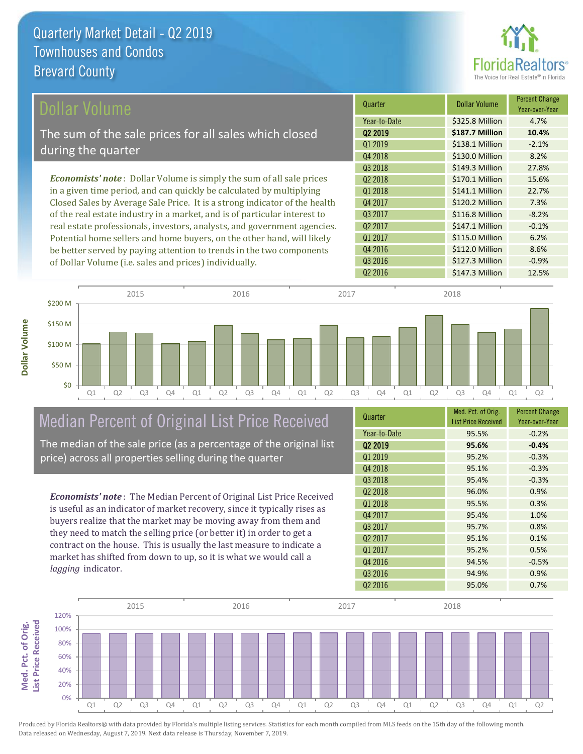

| Dollar Volume                                                                | Quarter             | <b>Dollar Volume</b> | <b>Percent Change</b><br>Year-over-Year |
|------------------------------------------------------------------------------|---------------------|----------------------|-----------------------------------------|
|                                                                              | Year-to-Date        | \$325.8 Million      | 4.7%                                    |
| The sum of the sale prices for all sales which closed                        | Q <sub>2</sub> 2019 | \$187.7 Million      | 10.4%                                   |
| during the quarter                                                           | Q1 2019             | \$138.1 Million      | $-2.1%$                                 |
|                                                                              | Q4 2018             | \$130.0 Million      | 8.2%                                    |
|                                                                              | Q3 2018             | \$149.3 Million      | 27.8%                                   |
| <b>Economists' note</b> : Dollar Volume is simply the sum of all sale prices | Q <sub>2</sub> 2018 | \$170.1 Million      | 15.6%                                   |
| in a given time period, and can quickly be calculated by multiplying         | Q1 2018             | \$141.1 Million      | 22.7%                                   |
| Closed Sales by Average Sale Price. It is a strong indicator of the health   | Q4 2017             | \$120.2 Million      | 7.3%                                    |
| of the real estate industry in a market, and is of particular interest to    | Q3 2017             | \$116.8 Million      | $-8.2%$                                 |
| real estate professionals, investors, analysts, and government agencies.     | Q <sub>2</sub> 2017 | \$147.1 Million      | $-0.1%$                                 |
| Potential home sellers and home buyers, on the other hand, will likely       | Q1 2017             | \$115.0 Million      | 6.2%                                    |
| be better served by paying attention to trends in the two components         | Q4 2016             | \$112.0 Million      | 8.6%                                    |
| of Dollar Volume (i.e. sales and prices) individually                        | Q3 2016             | \$127.3 Million      | $-0.9%$                                 |

Q1 Q2 Q3 Q4 Q1 Q2 Q3 Q4 Q1 Q2 Q3 Q4 Q1 Q2 Q3 Q4 Q1 Q2 \$0 \$50 M \$100 M \$150 M \$200 M 2015 2016 2017 2018

## Median Percent of Original List Price Received

of Dollar Volume (i.e. sales and prices) individually.

The median of the sale price (as a percentage of the original list price) across all properties selling during the quarter

*Economists' note* : The Median Percent of Original List Price Received is useful as an indicator of market recovery, since it typically rises as buyers realize that the market may be moving away from them and they need to match the selling price (or better it) in order to get a contract on the house. This is usually the last measure to indicate a market has shifted from down to up, so it is what we would call a *lagging* indicator.

| Quarter             | Med. Pct. of Orig.<br><b>List Price Received</b> | <b>Percent Change</b><br>Year-over-Year |
|---------------------|--------------------------------------------------|-----------------------------------------|
| Year-to-Date        | 95.5%                                            | $-0.2%$                                 |
| 02 2019             | 95.6%                                            | $-0.4%$                                 |
| Q1 2019             | 95.2%                                            | $-0.3%$                                 |
| Q4 2018             | 95.1%                                            | $-0.3%$                                 |
| Q3 2018             | 95.4%                                            | $-0.3%$                                 |
| Q <sub>2</sub> 2018 | 96.0%                                            | 0.9%                                    |
| 01 2018             | 95.5%                                            | 0.3%                                    |
| Q4 2017             | 95.4%                                            | 1.0%                                    |
| 03 2017             | 95.7%                                            | 0.8%                                    |
| Q <sub>2</sub> 2017 | 95.1%                                            | 0.1%                                    |
| Q1 2017             | 95.2%                                            | 0.5%                                    |
| Q4 2016             | 94.5%                                            | $-0.5%$                                 |
| Q3 2016             | 94.9%                                            | 0.9%                                    |
| Q <sub>2</sub> 2016 | 95.0%                                            | 0.7%                                    |

Q2 2016 **\$147.3 Million** 12.5%

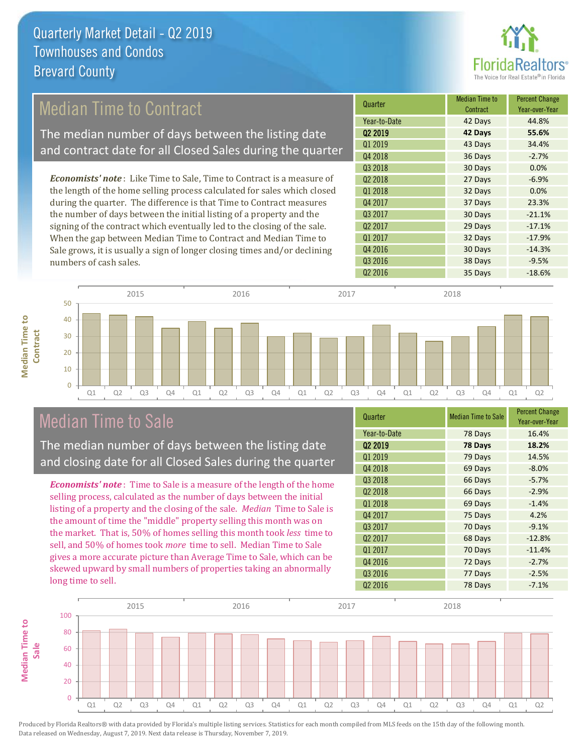

### Median Time to Contract

The median number of days between the listing date and contract date for all Closed Sales during the quarter

*Economists' note* : Like Time to Sale, Time to Contract is a measure of the length of the home selling process calculated for sales which closed during the quarter. The difference is that Time to Contract measures the number of days between the initial listing of a property and the signing of the contract which eventually led to the closing of the sale. When the gap between Median Time to Contract and Median Time to Sale grows, it is usually a sign of longer closing times and/or declining numbers of cash sales.





#### Median Time to Sale

**Median Time to** 

**Median Time to** 

The median number of days between the listing date and closing date for all Closed Sales during the quarter

*Economists' note* : Time to Sale is a measure of the length of the home selling process, calculated as the number of days between the initial listing of a property and the closing of the sale. *Median* Time to Sale is the amount of time the "middle" property selling this month was on the market. That is, 50% of homes selling this month took *less* time to sell, and 50% of homes took *more* time to sell. Median Time to Sale gives a more accurate picture than Average Time to Sale, which can be skewed upward by small numbers of properties taking an abnormally long time to sell.

| Quarter             | <b>Median Time to Sale</b> | <b>Percent Change</b><br>Year-over-Year |
|---------------------|----------------------------|-----------------------------------------|
| Year-to-Date        | 78 Days                    | 16.4%                                   |
| Q <sub>2</sub> 2019 | 78 Days                    | 18.2%                                   |
| Q1 2019             | 79 Days                    | 14.5%                                   |
| Q4 2018             | 69 Days                    | $-8.0%$                                 |
| Q3 2018             | 66 Days                    | $-5.7%$                                 |
| Q <sub>2</sub> 2018 | 66 Days                    | $-2.9%$                                 |
| Q1 2018             | 69 Days                    | $-1.4%$                                 |
| Q4 2017             | 75 Days                    | 4.2%                                    |
| 03 2017             | 70 Days                    | $-9.1%$                                 |
| Q <sub>2</sub> 2017 | 68 Days                    | $-12.8%$                                |
| Q1 2017             | 70 Days                    | $-11.4%$                                |
| Q4 2016             | 72 Days                    | $-2.7%$                                 |
| Q3 2016             | 77 Days                    | $-2.5%$                                 |
| Q <sub>2</sub> 2016 | 78 Days                    | $-7.1%$                                 |

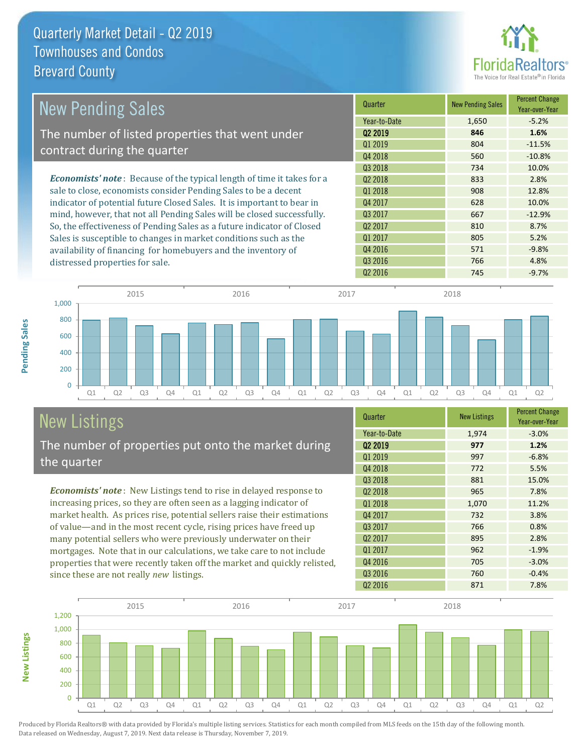

| <b>New Pending Sales</b>                                                      | Quarter             | <b>New Pending Sales</b> | <b>Percent Change</b><br>Year-over-Year |
|-------------------------------------------------------------------------------|---------------------|--------------------------|-----------------------------------------|
|                                                                               | Year-to-Date        | 1,650                    | $-5.2%$                                 |
| The number of listed properties that went under                               | 02 2019             | 846                      | 1.6%                                    |
| contract during the quarter                                                   | Q1 2019             | 804                      | $-11.5%$                                |
|                                                                               | Q4 2018             | 560                      | $-10.8%$                                |
|                                                                               | Q3 2018             | 734                      | 10.0%                                   |
| <b>Economists' note:</b> Because of the typical length of time it takes for a | 02 2018             | 833                      | 2.8%                                    |
| sale to close, economists consider Pending Sales to be a decent               | Q1 2018             | 908                      | 12.8%                                   |
| indicator of potential future Closed Sales. It is important to bear in        | Q4 2017             | 628                      | 10.0%                                   |
| mind, however, that not all Pending Sales will be closed successfully.        | Q3 2017             | 667                      | $-12.9%$                                |
| So, the effectiveness of Pending Sales as a future indicator of Closed        | Q <sub>2</sub> 2017 | 810                      | 8.7%                                    |
| Sales is susceptible to changes in market conditions such as the              | Q1 2017             | 805                      | 5.2%                                    |
| availability of financing for homebuyers and the inventory of                 | Q4 2016             | 571                      | $-9.8%$                                 |
| distressed properties for sale.                                               | Q3 2016             | 766                      | 4.8%                                    |



# New Listings

**New Listings**

**Pending Sales**

Pending Sales

The number of properties put onto the market during the quarter

*Economists' note* : New Listings tend to rise in delayed response to increasing prices, so they are often seen as a lagging indicator of market health. As prices rise, potential sellers raise their estimations of value—and in the most recent cycle, rising prices have freed up many potential sellers who were previously underwater on their mortgages. Note that in our calculations, we take care to not include properties that were recently taken off the market and quickly relisted, since these are not really *new* listings.

| Quarter             | <b>New Listings</b> | <b>Percent Change</b><br>Year-over-Year |
|---------------------|---------------------|-----------------------------------------|
| Year-to-Date        | 1,974               | $-3.0%$                                 |
| 02 2019             | 977                 | 1.2%                                    |
| Q1 2019             | 997                 | $-6.8%$                                 |
| Q4 2018             | 772                 | 5.5%                                    |
| Q3 2018             | 881                 | 15.0%                                   |
| Q <sub>2</sub> 2018 | 965                 | 7.8%                                    |
| Q1 2018             | 1,070               | 11.2%                                   |
| Q4 2017             | 732                 | 3.8%                                    |
| Q3 2017             | 766                 | 0.8%                                    |
| Q <sub>2</sub> 2017 | 895                 | 2.8%                                    |
| Q1 2017             | 962                 | $-1.9%$                                 |
| Q4 2016             | 705                 | $-3.0%$                                 |
| Q3 2016             | 760                 | $-0.4%$                                 |
| Q <sub>2</sub> 2016 | 871                 | 7.8%                                    |

Q2 2016 **745** -9.7%

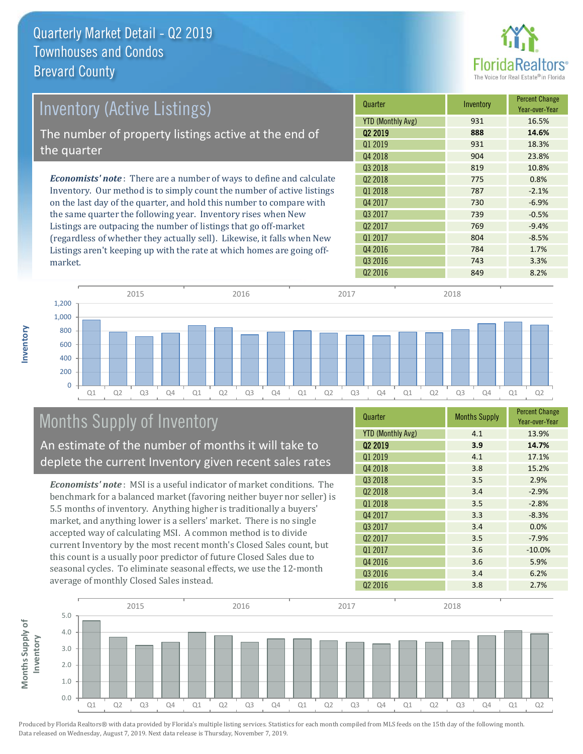

| <b>Inventory (Active Listings)</b>                                          | Quarter                  | Inventory | <b>Percent Change</b><br>Year-over-Year |
|-----------------------------------------------------------------------------|--------------------------|-----------|-----------------------------------------|
|                                                                             | <b>YTD (Monthly Avg)</b> | 931       | 16.5%                                   |
| The number of property listings active at the end of                        | 02 2019                  | 888       | 14.6%                                   |
|                                                                             | 01 2019                  | 931       | 18.3%                                   |
| the quarter                                                                 | Q4 2018                  | 904       | 23.8%                                   |
|                                                                             | Q3 2018                  | 819       | 10.8%                                   |
| <b>Economists' note:</b> There are a number of ways to define and calculate | 02 2018                  | 775       | 0.8%                                    |
| Inventory. Our method is to simply count the number of active listings      | Q1 2018                  | 787       | $-2.1%$                                 |
| on the last day of the quarter, and hold this number to compare with        | Q4 2017                  | 730       | $-6.9%$                                 |
| the same quarter the following year. Inventory rises when New               | 03 2017                  | 739       | $-0.5%$                                 |
| Listings are outpacing the number of listings that go off-market            | Q <sub>2</sub> 2017      | 769       | $-9.4%$                                 |
| (regardless of whether they actually sell). Likewise, it falls when New     | Q1 2017                  | 804       | $-8.5%$                                 |
| Listings aren't keeping up with the rate at which homes are going off-      | Q4 2016                  | 784       | 1.7%                                    |



## Months Supply of Inventory

market.

**Inventory**

An estimate of the number of months it will take to deplete the current Inventory given recent sales rates

*Economists' note* : MSI is a useful indicator of market conditions. The benchmark for a balanced market (favoring neither buyer nor seller) is 5.5 months of inventory. Anything higher is traditionally a buyers' market, and anything lower is a sellers' market. There is no single accepted way of calculating MSI. A common method is to divide current Inventory by the most recent month's Closed Sales count, but this count is a usually poor predictor of future Closed Sales due to seasonal cycles. To eliminate seasonal effects, we use the 12-month average of monthly Closed Sales instead.

| Quarter                  | <b>Months Supply</b> | <b>Percent Change</b><br>Year-over-Year |
|--------------------------|----------------------|-----------------------------------------|
| <b>YTD (Monthly Avg)</b> | 4.1                  | 13.9%                                   |
| Q <sub>2</sub> 2019      | 3.9                  | 14.7%                                   |
| Q1 2019                  | 4.1                  | 17.1%                                   |
| Q4 2018                  | 3.8                  | 15.2%                                   |
| Q3 2018                  | 3.5                  | 2.9%                                    |
| Q <sub>2</sub> 2018      | 3.4                  | $-2.9%$                                 |
| Q1 2018                  | 3.5                  | $-2.8%$                                 |
| Q4 2017                  | 3.3                  | $-8.3%$                                 |
| Q3 2017                  | 3.4                  | 0.0%                                    |
| Q <sub>2</sub> 2017      | 3.5                  | $-7.9%$                                 |
| Q1 2017                  | 3.6                  | $-10.0%$                                |
| Q4 2016                  | 3.6                  | 5.9%                                    |
| Q3 2016                  | 3.4                  | 6.2%                                    |
| Q <sub>2</sub> 2016      | 3.8                  | 2.7%                                    |

Q3 2016 743 743 3.3%

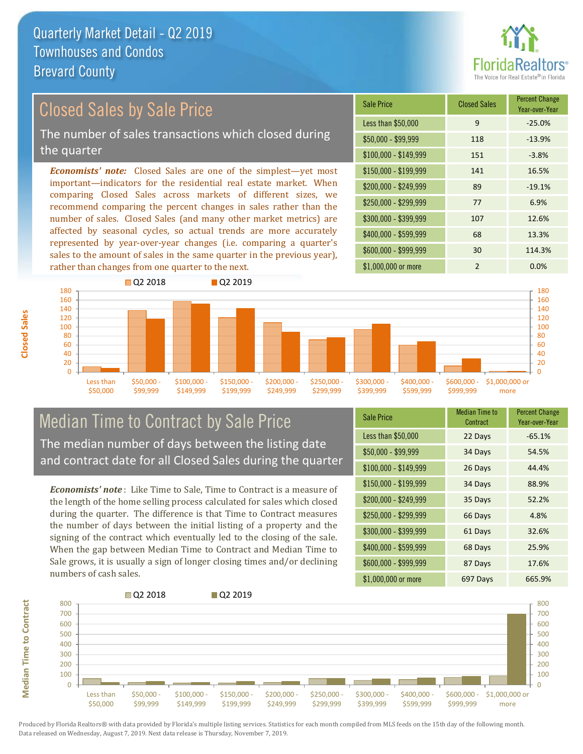

### Closed Sales by Sale Price

The number of sales transactions which closed during the quarter

*Economists' note:* Closed Sales are one of the simplest—yet most important—indicators for the residential real estate market. When comparing Closed Sales across markets of different sizes, we recommend comparing the percent changes in sales rather than the number of sales. Closed Sales (and many other market metrics) are affected by seasonal cycles, so actual trends are more accurately represented by year-over-year changes (i.e. comparing a quarter's sales to the amount of sales in the same quarter in the previous year), rather than changes from one quarter to the next.

| <b>Sale Price</b>     | <b>Closed Sales</b> | <b>Percent Change</b><br>Year-over-Year |
|-----------------------|---------------------|-----------------------------------------|
| Less than \$50,000    | 9                   | $-25.0%$                                |
| $$50,000 - $99,999$   | 118                 | $-13.9%$                                |
| $$100,000 - $149,999$ | 151                 | $-3.8%$                                 |
| $$150,000 - $199,999$ | 141                 | 16.5%                                   |
| \$200,000 - \$249,999 | 89                  | $-19.1%$                                |
| \$250,000 - \$299,999 | 77                  | 6.9%                                    |
| \$300,000 - \$399,999 | 107                 | 12.6%                                   |
| \$400,000 - \$599,999 | 68                  | 13.3%                                   |
| \$600,000 - \$999,999 | 30                  | 114.3%                                  |
| \$1,000,000 or more   | $\mathfrak{p}$      | 0.0%                                    |



#### Median Time to Contract by Sale Price The median number of days between the listing date and contract date for all Closed Sales during the quarter

*Economists' note* : Like Time to Sale, Time to Contract is a measure of the length of the home selling process calculated for sales which closed during the quarter. The difference is that Time to Contract measures the number of days between the initial listing of a property and the signing of the contract which eventually led to the closing of the sale. When the gap between Median Time to Contract and Median Time to Sale grows, it is usually a sign of longer closing times and/or declining numbers of cash sales.

| <b>Sale Price</b>     | Median Time to<br>Contract | <b>Percent Change</b><br>Year-over-Year |
|-----------------------|----------------------------|-----------------------------------------|
| Less than \$50,000    | 22 Days                    | $-65.1%$                                |
| $$50,000 - $99,999$   | 34 Days                    | 54.5%                                   |
| $$100,000 - $149,999$ | 26 Days                    | 44.4%                                   |
| $$150,000 - $199,999$ | 34 Days                    | 88.9%                                   |
| \$200,000 - \$249,999 | 35 Days                    | 52.2%                                   |
| \$250,000 - \$299,999 | 66 Days                    | 4.8%                                    |
| \$300,000 - \$399,999 | 61 Days                    | 32.6%                                   |
| \$400,000 - \$599,999 | 68 Days                    | 25.9%                                   |
| \$600,000 - \$999,999 | 87 Days                    | 17.6%                                   |
| \$1,000,000 or more   | 697 Days                   | 665.9%                                  |



Produced by Florida Realtors® with data provided by Florida's multiple listing services. Statistics for each month compiled from MLS feeds on the 15th day of the following month. Data released on Wednesday, August 7, 2019. Next data release is Thursday, November 7, 2019.

**Median Time to Contract**

**Median Time to Contract**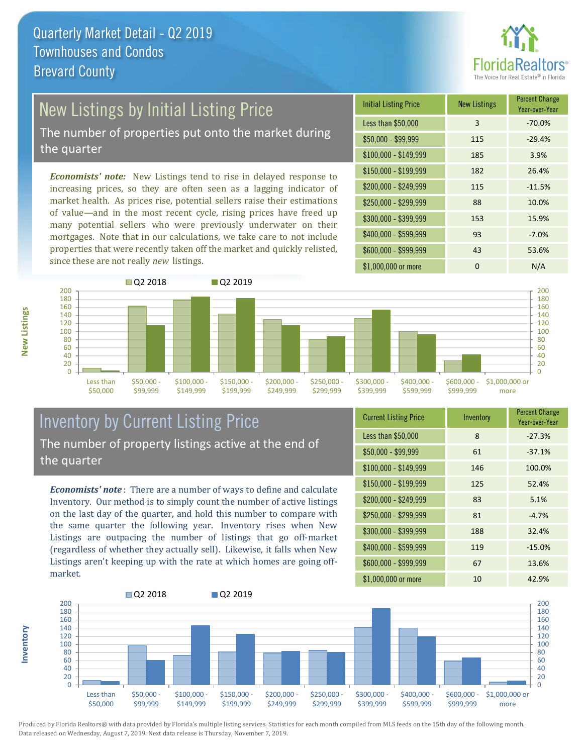

## New Listings by Initial Listing Price

The number of properties put onto the market during the quarter

*Economists' note:* New Listings tend to rise in delayed response to increasing prices, so they are often seen as a lagging indicator of market health. As prices rise, potential sellers raise their estimations of value—and in the most recent cycle, rising prices have freed up many potential sellers who were previously underwater on their mortgages. Note that in our calculations, we take care to not include properties that were recently taken off the market and quickly relisted, since these are not really *new* listings.





#### Inventory by Current Listing Price The number of property listings active at the end of the quarter

*Economists' note* : There are a number of ways to define and calculate Inventory. Our method is to simply count the number of active listings on the last day of the quarter, and hold this number to compare with the same quarter the following year. Inventory rises when New Listings are outpacing the number of listings that go off-market (regardless of whether they actually sell). Likewise, it falls when New Listings aren't keeping up with the rate at which homes are going offmarket.

| <b>Current Listing Price</b> | Inventory | <b>Percent Change</b><br>Year-over-Year |
|------------------------------|-----------|-----------------------------------------|
| Less than \$50,000           | 8         | $-27.3%$                                |
| $$50,000 - $99,999$          | 61        | $-37.1%$                                |
| $$100,000 - $149,999$        | 146       | 100.0%                                  |
| $$150,000 - $199,999$        | 125       | 52.4%                                   |
| \$200,000 - \$249,999        | 83        | 5.1%                                    |
| \$250,000 - \$299,999        | 81        | $-4.7%$                                 |
| \$300,000 - \$399,999        | 188       | 32.4%                                   |
| \$400,000 - \$599,999        | 119       | $-15.0%$                                |
| \$600,000 - \$999,999        | 67        | 13.6%                                   |
| \$1,000,000 or more          | 10        | 42.9%                                   |



Produced by Florida Realtors® with data provided by Florida's multiple listing services. Statistics for each month compiled from MLS feeds on the 15th day of the following month. Data released on Wednesday, August 7, 2019. Next data release is Thursday, November 7, 2019.

**Inventory**